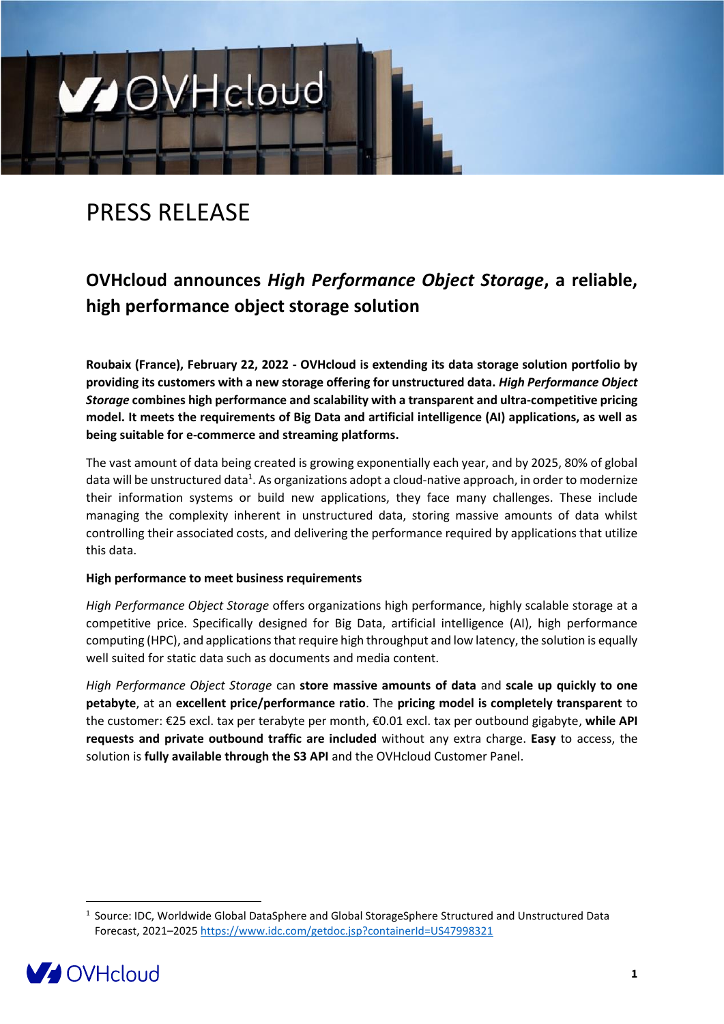# PRESS RELEASE

**MOVHcloud** 

# **OVHcloud announces** *High Performance Object Storage***, a reliable, high performance object storage solution**

**Roubaix (France), February 22, 2022 - OVHcloud is extending its data storage solution portfolio by providing its customers with a new storage offering for unstructured data.** *High Performance Object Storage* **combines high performance and scalability with a transparent and ultra-competitive pricing model. It meets the requirements of Big Data and artificial intelligence (AI) applications, as well as being suitable for e-commerce and streaming platforms.** 

The vast amount of data being created is growing exponentially each year, and by 2025, 80% of global data will be unstructured data<sup>1</sup>. As organizations adopt a cloud-native approach, in order to modernize their information systems or build new applications, they face many challenges. These include managing the complexity inherent in unstructured data, storing massive amounts of data whilst controlling their associated costs, and delivering the performance required by applications that utilize this data.

### **High performance to meet business requirements**

*High Performance Object Storage* offers organizations high performance, highly scalable storage at a competitive price. Specifically designed for Big Data, artificial intelligence (AI), high performance computing (HPC), and applications that require high throughput and low latency, the solution is equally well suited for static data such as documents and media content.

*High Performance Object Storage* can **store massive amounts of data** and **scale up quickly to one petabyte**, at an **excellent price/performance ratio**. The **pricing model is completely transparent** to the customer: €25 excl. tax per terabyte per month, €0.01 excl. tax per outbound gigabyte, **while API requests and private outbound traffic are included** without any extra charge. **Easy** to access, the solution is **fully available through the S3 API** and the OVHcloud Customer Panel.

<sup>&</sup>lt;sup>1</sup> Source: IDC, Worldwide Global DataSphere and Global StorageSphere Structured and Unstructured Data Forecast, 2021–2025<https://www.idc.com/getdoc.jsp?containerId=US47998321>